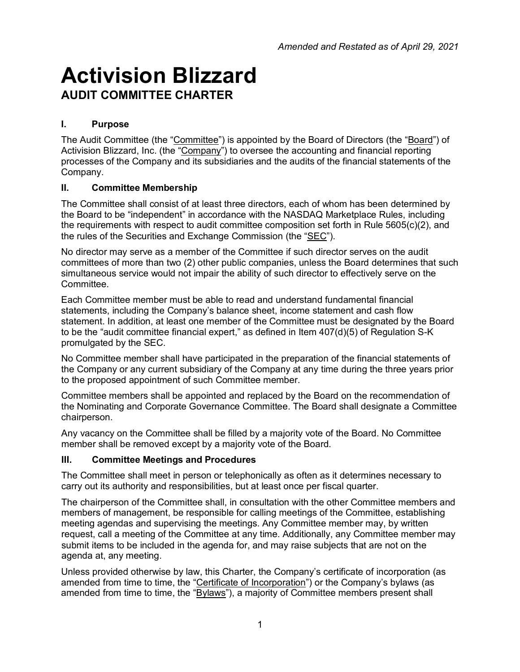# **Activision Blizzard AUDIT COMMITTEE CHARTER**

## **I. Purpose**

The Audit Committee (the "Committee") is appointed by the Board of Directors (the "Board") of Activision Blizzard, Inc. (the "Company") to oversee the accounting and financial reporting processes of the Company and its subsidiaries and the audits of the financial statements of the Company.

## **II. Committee Membership**

The Committee shall consist of at least three directors, each of whom has been determined by the Board to be "independent" in accordance with the NASDAQ Marketplace Rules, including the requirements with respect to audit committee composition set forth in Rule 5605(c)(2), and the rules of the Securities and Exchange Commission (the "SEC").

No director may serve as a member of the Committee if such director serves on the audit committees of more than two (2) other public companies, unless the Board determines that such simultaneous service would not impair the ability of such director to effectively serve on the Committee.

Each Committee member must be able to read and understand fundamental financial statements, including the Company's balance sheet, income statement and cash flow statement. In addition, at least one member of the Committee must be designated by the Board to be the "audit committee financial expert," as defined in Item 407(d)(5) of Regulation S-K promulgated by the SEC.

No Committee member shall have participated in the preparation of the financial statements of the Company or any current subsidiary of the Company at any time during the three years prior to the proposed appointment of such Committee member.

Committee members shall be appointed and replaced by the Board on the recommendation of the Nominating and Corporate Governance Committee. The Board shall designate a Committee chairperson.

Any vacancy on the Committee shall be filled by a majority vote of the Board. No Committee member shall be removed except by a majority vote of the Board.

## **III. Committee Meetings and Procedures**

The Committee shall meet in person or telephonically as often as it determines necessary to carry out its authority and responsibilities, but at least once per fiscal quarter.

The chairperson of the Committee shall, in consultation with the other Committee members and members of management, be responsible for calling meetings of the Committee, establishing meeting agendas and supervising the meetings. Any Committee member may, by written request, call a meeting of the Committee at any time. Additionally, any Committee member may submit items to be included in the agenda for, and may raise subjects that are not on the agenda at, any meeting.

Unless provided otherwise by law, this Charter, the Company's certificate of incorporation (as amended from time to time, the "Certificate of Incorporation") or the Company's bylaws (as amended from time to time, the "Bylaws"), a majority of Committee members present shall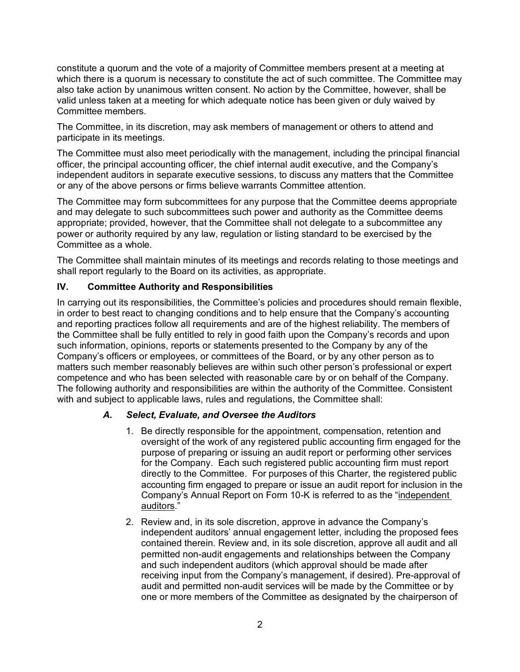constitute a quorum and the vote of a majority of Committee members present at a meeting at which there is a quorum is necessary to constitute the act of such committee. The Committee may also take action by unanimous written consent. No action by the Committee, however, shall be valid unless taken at a meeting for which adequate notice has been given or duly waived by Committee members.

The Committee, in its discretion, may ask members of management or others to attend and participate in its meetings.

The Committee must also meet periodically with the management, including the principal financial officer, the principal accounting officer, the chief internal audit executive, and the Company's independent auditors in separate executive sessions, to discuss any matters that the Committee or any of the above persons or firms believe warrants Committee attention.

The Committee may form subcommittees for any purpose that the Committee deems appropriate and may delegate to such subcommittees such power and authority as the Committee deems appropriate; provided, however, that the Committee shall not delegate to a subcommittee any power or authority required by any law, regulation or listing standard to be exercised by the Committee as a whole.

The Committee shall maintain minutes of its meetings and records relating to those meetings and shall report regularly to the Board on its activities, as appropriate.

#### **IV. Committee Authority and Responsibilities**

In carrying out its responsibilities, the Committee's policies and procedures should remain flexible, in order to best react to changing conditions and to help ensure that the Company's accounting and reporting practices follow all requirements and are of the highest reliability. The members of the Committee shall be fully entitled to rely in good faith upon the Company's records and upon such information, opinions, reports or statements presented to the Company by any of the Company's officers or employees, or committees of the Board, or by any other person as to matters such member reasonably believes are within such other person's professional or expert competence and who has been selected with reasonable care by or on behalf of the Company. The following authority and responsibilities are within the authority of the Committee. Consistent with and subject to applicable laws, rules and regulations, the Committee shall:

#### *A. Select, Evaluate, and Oversee the Auditors*

- 1. Be directly responsible for the appointment, compensation, retention and oversight of the work of any registered public accounting firm engaged for the purpose of preparing or issuing an audit report or performing other services for the Company. Each such registered public accounting firm must report directly to the Committee. For purposes of this Charter, the registered public accounting firm engaged to prepare or issue an audit report for inclusion in the Company's Annual Report on Form 10-K is referred to as the "independent auditors."
- 2. Review and, in its sole discretion, approve in advance the Company's independent auditors' annual engagement letter, including the proposed fees contained therein. Review and, in its sole discretion, approve all audit and all permitted non-audit engagements and relationships between the Company and such independent auditors (which approval should be made after receiving input from the Company's management, if desired). Pre-approval of audit and permitted non-audit services will be made by the Committee or by one or more members of the Committee as designated by the chairperson of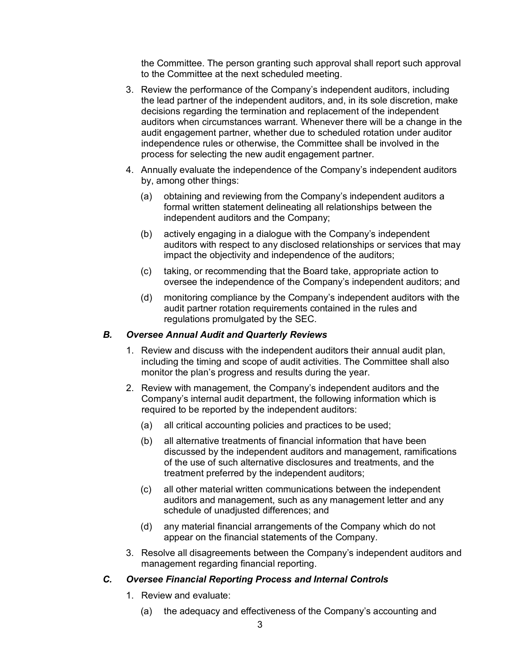the Committee. The person granting such approval shall report such approval to the Committee at the next scheduled meeting.

- 3. Review the performance of the Company's independent auditors, including the lead partner of the independent auditors, and, in its sole discretion, make decisions regarding the termination and replacement of the independent auditors when circumstances warrant. Whenever there will be a change in the audit engagement partner, whether due to scheduled rotation under auditor independence rules or otherwise, the Committee shall be involved in the process for selecting the new audit engagement partner.
- 4. Annually evaluate the independence of the Company's independent auditors by, among other things:
	- (a) obtaining and reviewing from the Company's independent auditors a formal written statement delineating all relationships between the independent auditors and the Company;
	- (b) actively engaging in a dialogue with the Company's independent auditors with respect to any disclosed relationships or services that may impact the objectivity and independence of the auditors;
	- (c) taking, or recommending that the Board take, appropriate action to oversee the independence of the Company's independent auditors; and
	- (d) monitoring compliance by the Company's independent auditors with the audit partner rotation requirements contained in the rules and regulations promulgated by the SEC.

#### *B. Oversee Annual Audit and Quarterly Reviews*

- 1. Review and discuss with the independent auditors their annual audit plan, including the timing and scope of audit activities. The Committee shall also monitor the plan's progress and results during the year.
- 2. Review with management, the Company's independent auditors and the Company's internal audit department, the following information which is required to be reported by the independent auditors:
	- (a) all critical accounting policies and practices to be used;
	- (b) all alternative treatments of financial information that have been discussed by the independent auditors and management, ramifications of the use of such alternative disclosures and treatments, and the treatment preferred by the independent auditors;
	- (c) all other material written communications between the independent auditors and management, such as any management letter and any schedule of unadjusted differences; and
	- (d) any material financial arrangements of the Company which do not appear on the financial statements of the Company.
- 3. Resolve all disagreements between the Company's independent auditors and management regarding financial reporting.

#### *C. Oversee Financial Reporting Process and Internal Controls*

- 1. Review and evaluate:
	- (a) the adequacy and effectiveness of the Company's accounting and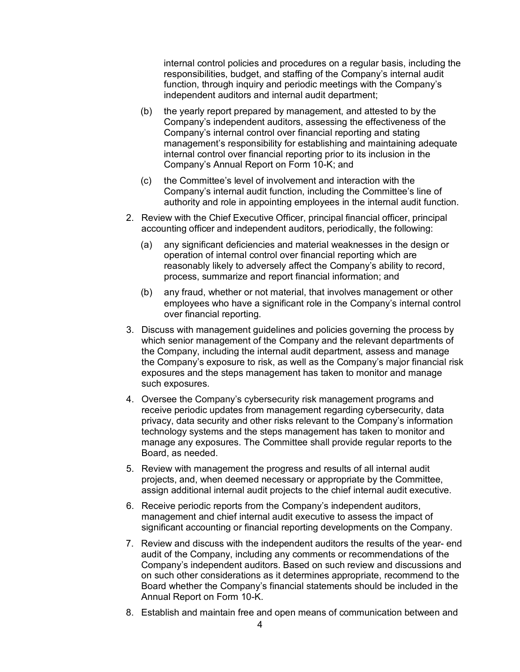internal control policies and procedures on a regular basis, including the responsibilities, budget, and staffing of the Company's internal audit function, through inquiry and periodic meetings with the Company's independent auditors and internal audit department;

- (b) the yearly report prepared by management, and attested to by the Company's independent auditors, assessing the effectiveness of the Company's internal control over financial reporting and stating management's responsibility for establishing and maintaining adequate internal control over financial reporting prior to its inclusion in the Company's Annual Report on Form 10-K; and
- (c) the Committee's level of involvement and interaction with the Company's internal audit function, including the Committee's line of authority and role in appointing employees in the internal audit function.
- 2. Review with the Chief Executive Officer, principal financial officer, principal accounting officer and independent auditors, periodically, the following:
	- (a) any significant deficiencies and material weaknesses in the design or operation of internal control over financial reporting which are reasonably likely to adversely affect the Company's ability to record, process, summarize and report financial information; and
	- (b) any fraud, whether or not material, that involves management or other employees who have a significant role in the Company's internal control over financial reporting.
- 3. Discuss with management guidelines and policies governing the process by which senior management of the Company and the relevant departments of the Company, including the internal audit department, assess and manage the Company's exposure to risk, as well as the Company's major financial risk exposures and the steps management has taken to monitor and manage such exposures.
- 4. Oversee the Company's cybersecurity risk management programs and receive periodic updates from management regarding cybersecurity, data privacy, data security and other risks relevant to the Company's information technology systems and the steps management has taken to monitor and manage any exposures. The Committee shall provide regular reports to the Board, as needed.
- 5. Review with management the progress and results of all internal audit projects, and, when deemed necessary or appropriate by the Committee, assign additional internal audit projects to the chief internal audit executive.
- 6. Receive periodic reports from the Company's independent auditors, management and chief internal audit executive to assess the impact of significant accounting or financial reporting developments on the Company.
- 7. Review and discuss with the independent auditors the results of the year- end audit of the Company, including any comments or recommendations of the Company's independent auditors. Based on such review and discussions and on such other considerations as it determines appropriate, recommend to the Board whether the Company's financial statements should be included in the Annual Report on Form 10-K.
- 8. Establish and maintain free and open means of communication between and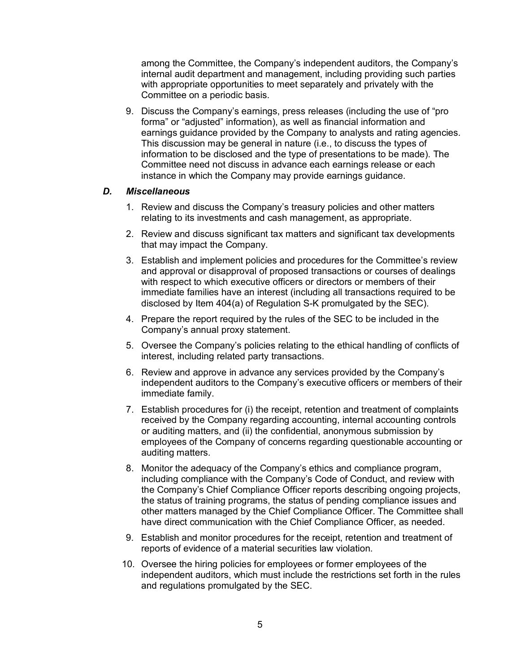among the Committee, the Company's independent auditors, the Company's internal audit department and management, including providing such parties with appropriate opportunities to meet separately and privately with the Committee on a periodic basis.

9. Discuss the Company's earnings, press releases (including the use of "pro forma" or "adjusted" information), as well as financial information and earnings guidance provided by the Company to analysts and rating agencies. This discussion may be general in nature (i.e., to discuss the types of information to be disclosed and the type of presentations to be made). The Committee need not discuss in advance each earnings release or each instance in which the Company may provide earnings guidance.

#### *D. Miscellaneous*

- 1. Review and discuss the Company's treasury policies and other matters relating to its investments and cash management, as appropriate.
- 2. Review and discuss significant tax matters and significant tax developments that may impact the Company.
- 3. Establish and implement policies and procedures for the Committee's review and approval or disapproval of proposed transactions or courses of dealings with respect to which executive officers or directors or members of their immediate families have an interest (including all transactions required to be disclosed by Item 404(a) of Regulation S-K promulgated by the SEC).
- 4. Prepare the report required by the rules of the SEC to be included in the Company's annual proxy statement.
- 5. Oversee the Company's policies relating to the ethical handling of conflicts of interest, including related party transactions.
- 6. Review and approve in advance any services provided by the Company's independent auditors to the Company's executive officers or members of their immediate family.
- 7. Establish procedures for (i) the receipt, retention and treatment of complaints received by the Company regarding accounting, internal accounting controls or auditing matters, and (ii) the confidential, anonymous submission by employees of the Company of concerns regarding questionable accounting or auditing matters.
- 8. Monitor the adequacy of the Company's ethics and compliance program, including compliance with the Company's Code of Conduct, and review with the Company's Chief Compliance Officer reports describing ongoing projects, the status of training programs, the status of pending compliance issues and other matters managed by the Chief Compliance Officer. The Committee shall have direct communication with the Chief Compliance Officer, as needed.
- 9. Establish and monitor procedures for the receipt, retention and treatment of reports of evidence of a material securities law violation.
- 10. Oversee the hiring policies for employees or former employees of the independent auditors, which must include the restrictions set forth in the rules and regulations promulgated by the SEC.